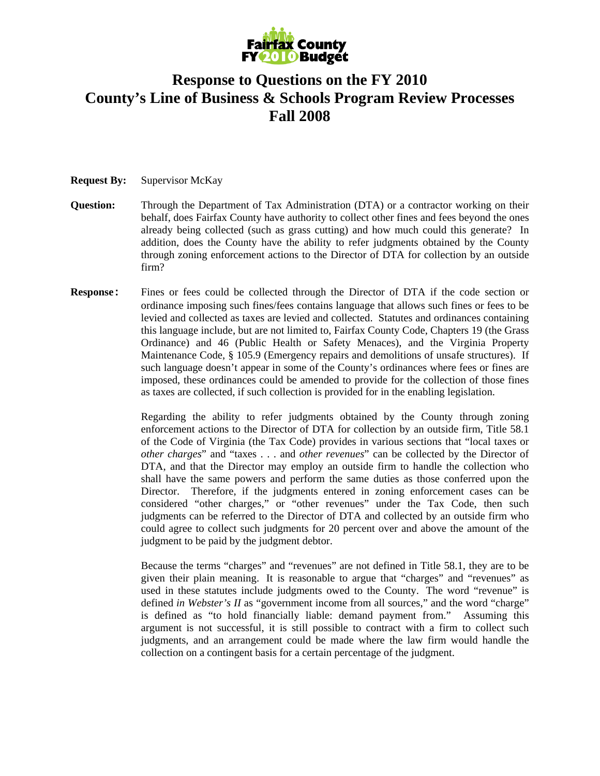

## **Response to Questions on the FY 2010 County's Line of Business & Schools Program Review Processes Fall 2008**

## **Request By:** Supervisor McKay

- **Question:** Through the Department of Tax Administration (DTA) or a contractor working on their behalf, does Fairfax County have authority to collect other fines and fees beyond the ones already being collected (such as grass cutting) and how much could this generate? In addition, does the County have the ability to refer judgments obtained by the County through zoning enforcement actions to the Director of DTA for collection by an outside firm?
- **Response:** Fines or fees could be collected through the Director of DTA if the code section or ordinance imposing such fines/fees contains language that allows such fines or fees to be levied and collected as taxes are levied and collected. Statutes and ordinances containing this language include, but are not limited to, Fairfax County Code, Chapters 19 (the Grass Ordinance) and 46 (Public Health or Safety Menaces), and the Virginia Property Maintenance Code, § 105.9 (Emergency repairs and demolitions of unsafe structures). If such language doesn't appear in some of the County's ordinances where fees or fines are imposed, these ordinances could be amended to provide for the collection of those fines as taxes are collected, if such collection is provided for in the enabling legislation.

Regarding the ability to refer judgments obtained by the County through zoning enforcement actions to the Director of DTA for collection by an outside firm, Title 58.1 of the Code of Virginia (the Tax Code) provides in various sections that "local taxes or *other charges*" and "taxes . . . and *other revenues*" can be collected by the Director of DTA, and that the Director may employ an outside firm to handle the collection who shall have the same powers and perform the same duties as those conferred upon the Director. Therefore, if the judgments entered in zoning enforcement cases can be considered "other charges," or "other revenues" under the Tax Code, then such judgments can be referred to the Director of DTA and collected by an outside firm who could agree to collect such judgments for 20 percent over and above the amount of the judgment to be paid by the judgment debtor.

Because the terms "charges" and "revenues" are not defined in Title 58.1, they are to be given their plain meaning. It is reasonable to argue that "charges" and "revenues" as used in these statutes include judgments owed to the County. The word "revenue" is defined *in Webster's II* as "government income from all sources," and the word "charge" is defined as "to hold financially liable: demand payment from." Assuming this argument is not successful, it is still possible to contract with a firm to collect such judgments, and an arrangement could be made where the law firm would handle the collection on a contingent basis for a certain percentage of the judgment.